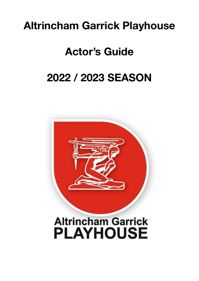# **Altrincham Garrick Playhouse**

# **Actor's Guide**

# **2022 / 2023 SEASON**

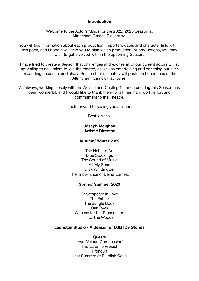### **Introduction**

Welcome to the Actor's Guide for the 2022/ 2023 Season at Altrincham Garrick Playhouse.

You will find information about each production, important dates and character lists within this pack, and I hope it will help you to plan which production, or productions, you may wish to get involved with in the upcoming Season.

I have tried to create a Season that challenges and excites all of our current actors whilst appealing to new talent to join the theatre, as well as entertaining and enriching our ever expanding audience, and also a Season that ultimately will push the boundaries of the Altrincham Garrick Playhouse.

As always, working closely with the Artistic and Casting Team on creating this Season has been wonderful, and I would like to thank them for all their hard work, effort and commitment to the Theatre.

I look forward to seeing you all soon.

Best wishes,

### **Joseph Meighan Artistic Director**

### **Autumn/ Winter 2022**

The Habit of Art Blue Stockings The Sound of Music All My Sons Dick Whittington The Importance of Being Earnest

### **Spring/ Summer 2023**

Shakespeare in Love The Father The Jungle Book Our Town Witness for the Prosecution Into The Woods

### **Lauriston Studio - A Season of LGBTQ+ Stories**

**Queers** Love! Valour! Compassion! The Laramie Project Pronoun Last Summer at Bluefish Cove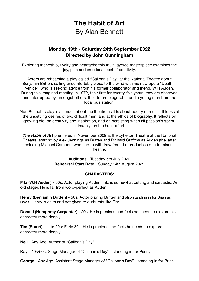## **The Habit of Art** By Alan Bennett

### **Monday 19th - Saturday 24th September 2022 Directed by John Cunningham**

Exploring friendship, rivalry and heartache this multi layered masterpiece examines the joy, pain and emotional cost of creativity.

Actors are rehearsing a play called "Caliban's Day" at the National Theatre about Benjamin Britten, sailing uncomfortably close to the wind with his new opera "Death in Venice", who is seeking advice from his former collaborator and friend, W H Auden. During this imagined meeting in 1972, their first for twenty-five years, they are observed and interrupted by, amongst others, their future biographer and a young man from the local bus station.

Alan Bennett's play is as much about the theatre as it is about poetry or music. It looks at the unsettling desires of two difficult men, and at the ethics of biography. It reflects on growing old, on creativity and inspiration, and on persisting when all passion's spent: ultimately, on the habit of art.

**The Habit of Art** premiered in November 2009 at the Lyttelton Theatre at the National Theatre, starring by Alex Jennings as Britten and Richard Griffiths as Auden (the latter replacing Michael Gambon, who had to withdraw from the production due to minor ill health).

> **Auditions** - Tuesday 5th July 2022 **Rehearsal Start Date** - Sunday 14th August 2022

### **CHARACTERS:**

**Fitz (W.H Auden)** - 60s. Actor playing Auden. Fitz is somewhat cutting and sarcastic. An old stager. He is far from word-perfect as Auden.

**Henry (Benjamin Britten)** - 50s. Actor playing Britten and also standing in for Brian as Boyle. Henry is calm and not given to outbursts like Fitz.

**Donald (Humphrey Carpenter)** - 20s. He is precious and feels he needs to explore his character more deeply.

**Tim (Stuart)** - Late 20s/ Early 30s. He is precious and feels he needs to explore his character more deeply.

**Neil** - Any Age. Author of "Caliban's Day".

**Kay** - 40s/50s. Stage Manager of "Caliban's Day" - standing in for Penny.

**George** - Any Age. Assistant Stage Manager of "Caliban's Day" - standing in for Brian.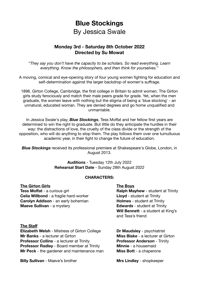### **Blue Stockings** By Jessica Swale

### **Monday 3rd - Saturday 8th October 2022 Directed by Su Mowat**

"*They say you don't have the capacity to be scholars. So read everything. Learn everything. Know the philosophers, and then think for yourselves.*"

A moving, comical and eye-opening story of four young women fighting for education and self-determination against the larger backdrop of women's suffrage.

1896. Girton College, Cambridge, the first college in Britain to admit women. The Girton girls study ferociously and match their male peers grade for grade. Yet, when the men graduate, the women leave with nothing but the stigma of being a 'blue stocking' - an unnatural, educated woman. They are denied degrees and go home unqualified and unmarriable.

In Jessica Swale's play, *Blue Stockings*, Tess Moffat and her fellow first years are determined to win the right to graduate. But little do they anticipate the hurdles in their way: the distractions of love, the cruelty of the class divide or the strength of the opposition, who will do anything to stop them. The play follows them over one tumultuous academic year, in their fight to change the future of education.

*Blue Stockings* received its professional premiere at Shakespeare's Globe, London, in August 2013.

> **Auditions** - Tuesday 12th July 2022 **Rehearsal Start Date** - Sunday 28th August 2022

### **CHARACTERS:**

**The Girton Girls The Boys Tess Moffat** - a curious girl **a cull contact CO Ralph Mayhew** - student at Trinity **Celia Willbond** - a fragile hard-worker **Lloyd** - student at Trinity **Carolyn Addison** - an early bohemian **Busines Holmes** - student at Trinity **Maeve Sullivan** - a mystery **and the Communist Communist Communist Communist Communist Communist Communist Communist Communist Communist Communist Communist Communist Communist Communist Communist Communist Communist Comm** 

 **Will Bennett** - a student at King's and Tess's friend

### **The Staf**

**Elizabeth Welsh** - Mistress of Girton College **Dr Maudsley** - psychiatrist **Mr Banks** - a lecturer at Girton **Miss Blake** - a lecturer at Girton **Professor Collins** - a lecturer at Trinity **Professor Anderson** - Trinity **Professor Radley** - Board member at Trinity **Minnie** - a housemaid **Mr Peck** - the gardener and maintenance man **Miss Bott** - a chaperone 

**Billy Sullivan** - Maeve's brother **Mrs Lindley** - shopkeeper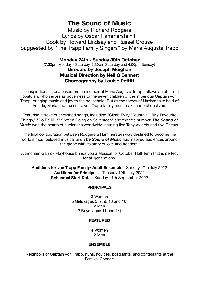### **The Sound of Music**

Music by Richard Rodgers Lyrics by Oscar Hammerstein II Book by Howard Lindsay and Russel Crouse Suggested by "The Trapp Family Singers" by Maria Augusta Trapp

### **Monday 24th - Sunday 30th October** (7.30pm Monday - Saturday, 2.30pm Saturday and 4.00pm Sunday) **Directed by Joseph Meighan Musical Direction by Neil G Bennett Choreography by Louise Pettitt**

The inspirational story, based on the memoir of Maria Augusta Trapp, follows an ebullient postulant who serves as governess to the seven children of the imperious Captain von Trapp, bringing music and joy to the household. But as the forces of Nazism take hold of Austria, Maria and the entire von Trapp family must make a moral decision.

Featuring a trove of cherished songs, including "Climb Ev'ry Mountain," "My Favourite Things," "Do Re Mi," "Sixteen Going on Seventeen" and the title number, *The Sound of Music* won the hearts of audiences worldwide, earning five Tony Awards and five Oscars.

The final collaboration between Rodgers & Hammerstein was destined to become the world's most beloved musical and *The Sound of Music* has inspired audiences around the globe with its story of love and freedom.

Altrincham Garrick Playhouse brings you a Musical for October Half Term that is perfect for all generations.

**Auditions for von Trapp Family/ Adult Ensemble** - Sunday 17th July 2022 **Auditions for Principals** - Tuesday 19th July 2022 **Rehearsal Start Date** - Sunday 11th September 2022

### **PRINCIPALS**

3 Women 5 Girls (ages 5, 7, 9, 13 and 16) 2 Men 2 Boys (ages 11 and 14)

### **FEATURED**

4 Women 2 Men

### **ENSEMBLE**

Neighbors of Captain von Trapp, nuns, novices, postulants, and contestants at the Festival Concert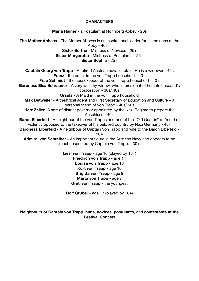### **CHARACTERS**

**Maria Rainer** - a Postulant at Nonnberg Abbey - 20s

**The Mother Abbess** - The Mother Abbess is an inspirational leader for all the nuns at the Abby -  $40s +$ **Sister Berthe** - Mistress of Novices - 25+ **Sister Margaretta** - Mistress of Postulants - 25+ **Sister Sophia** - 25+ **Captain Georg von Trapp -** A retired Austrian naval captain. He is a widower - 40s **Franz** - the butler in the von Trapp household -  $40+$ **Frau Schmidt** - the housekeeper of the von Trapp household - 40+ **Baroness Elsa Schraeder** - A very wealthy widow, who is president of her late husband's corporation - 30s/ 40s **Ursula** - A Maid in the von Trapp household **Max Detweiler** - A theatrical agent and First Secretary of Education and Culture – a personal friend of Von Trapp - 40s/ 50s **Herr Zeller** -A sort of district governor appointed by the Nazi Regime to prepare the Anschluss - 40+ **Baron Elberfeld** - A neighbour of the von Trapps and one of the "Old Guards" of Austria violently opposed to the takeover of his beloved country by Nazi Germany - 40+ **Baroness Elberfeld** - A neighbour of Captain Von Trapp and wife to the Baron Elberfeld -  $30+$ **Admiral von Schreiber -** An important figure in the Austrian Navy and appears to be much respected by Captain von Trapp. - 30+ **Liesl von Trapp** - age 16 (played by 18+) **Friedrich von Trapp** - age 14

**Louisa von Trapp** - age 13 **Kurt von Trapp** - age 10 **Brigitta von Trapp** - age 9 **Marta von Trapp** - age 7 **Gretl von Trapp** - the youngest

**Rolf Gruber** - age 17 (played by 18+)

**Neighbours of Captain von Trapp**, **nuns**, **novices**, **postulants**, and **contestants at the Festival Concert**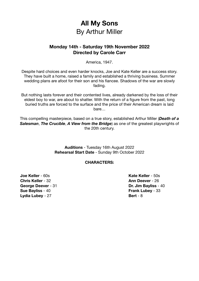## **All My Sons** By Arthur Miller

### **Monday 14th - Saturday 19th November 2022 Directed by Carole Carr**

America, 1947.

Despite hard choices and even harder knocks, Joe and Kate Keller are a success story. They have built a home, raised a family and established a thriving business. Summer wedding plans are afoot for their son and his fiancee. Shadows of the war are slowly fading.

But nothing lasts forever and their contented lives, already darkened by the loss of their eldest boy to war, are about to shatter. With the return of a figure from the past, long buried truths are forced to the surface and the price of their American dream is laid bare…

This compelling masterpiece, based on a true story, established Arthur Miller (*Death of a Salesman*, *The Crucible*, *A View from the Bridge*) as one of the greatest playwrights of the 20th century.

> **Auditions** - Tuesday 16th August 2022 **Rehearsal Start Date** - Sunday 9th October 2022

### **CHARACTERS:**

**Joe Keller** - 60s **Kate Keller** - 50s **Chris Keller - 32 Ann Deever - 26 Ann Deever - 26 George Deever** - 31 **Dr. Jim Bayliss** - 40 **Sue Bayliss** - 40 **Frank Lubey** - 33 **Lydia Lubey** - 27 **Bert** - 8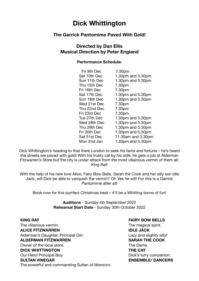### **Dick Whittington**

### **The Garrick Pantomime Paved With Gold!**

### **Directed by Dan Ellis Musical Direction by Peter England**

### **Performance Schedule:**

| Fri 9th Dec  | 7.30pm                  |
|--------------|-------------------------|
| Sat 10th Dec | 1.30pm and 5.30pm       |
| Sun 11th Dec | 1.30 $pm$ and 5.30 $pm$ |
| Thu 15th Dec | 7.30pm                  |
| Fri 16th Dec | 7.30pm                  |
| Sat 17th Dec | 1.30pm and 5.30pm       |
| Sun 18th Dec | 1.30 $pm$ and 5.30 $pm$ |
| Wed 21st Dec | 7.30pm                  |
| Thu 22nd Dec | 7.30pm                  |
| Fri 23rd Dec | 7.30pm                  |
| Tue 27th Dec | 1.30pm and 5.30pm       |
| Wed 28th Dec | 1.30pm and 5.30pm       |
| Thu 29th Dec | 1.30 $pm$ and 5.30 $pm$ |
| Fri 30th Dec | 1.30 $pm$ and 5.30 $pm$ |
| Sat 31st Dec | 11.30am and 3.30pm      |
| Mon 2nd Jan  | 1.30 $pm$ and 5.30 $pm$ |

Dick Whittington's heading to that there London to seek his fame and fortune – he's heard the streets are paved with gold! With his trusty cat by his side, he gets a job at Alderman Fitzwarren's Store but the city is under attack from the most villainous vermin of them all; King Rat!

With the help of his new love Alice, Fairy Bow Bells, Sarah the Cook and her silly son Idle Jack, will Dick be able to vanquish the vermin? Oh Yes he will! For this is a Garrick Pantomime after all!

Book now for this purrfect Christmas treat – it'll be a Whitting-tonne of fun!

**Auditions** - Sunday 4th September 2022 **Rehearsal Start Date** - Sunday 30th October 2022

**KING RAT FAIRY BOW BELLS** The villainous vermin. The magical spirit. **ALICE FITZWARREN IDLE JACK** Alderman's Daughter. Principal Girl. **Example 20** Lazy and slightly silly! **ALDERMAN FITZWARREN SARAH THE COOK** Owner of the local store.  $\blacksquare$   $\blacksquare$   $\blacksquare$   $\blacksquare$  The Dame. **DICK WHITTINGTON THE CAT** Our Hero! Principal Boy. **Dick's furry companion. SULTAN VINEGAR ENSEMBLE/ DANCERS** The powerful and commanding Sultan of Morocco.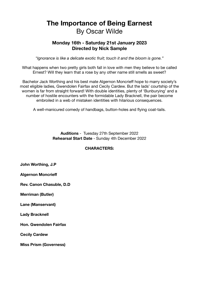### **The Importance of Being Earnest**  By Oscar Wilde

### **Monday 16th - Saturday 21st January 2023 Directed by Nick Sample**

*"Ignorance is like a delicate exotic fruit; touch it and the bloom is gone."*

What happens when two pretty girls both fall in love with men they believe to be called Ernest? Will they learn that a rose by any other name still smells as sweet?

Bachelor Jack Worthing and his best mate Algernon Moncrieff hope to marry society's most eligible ladies, Gwendolen Fairfax and Cecily Cardew. But the lads' courtship of the women is far from straight forward! With double identities, plenty of 'Bunburying' and a number of hostile encounters with the formidable Lady Bracknell, the pair become embroiled in a web of mistaken identities with hilarious consequences.

A well-manicured comedy of handbags, button-holes and flying coat-tails.

**Auditions** - Tuesday 27th September 2022 **Rehearsal Start Date** - Sunday 4th December 2022

### **CHARACTERS:**

**John Worthing, J.P**

**Algernon Moncrieff**

**Rev. Canon Chasuble, D.D** 

**Merriman (Butler)**

**Lane (Manservant)** 

**Lady Bracknell**

**Hon. Gwendolen Fairfax** 

**Cecily Cardew** 

**Miss Prism (Governess)**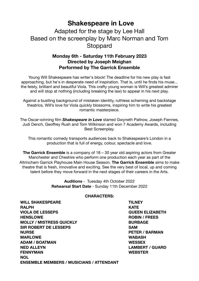### **Shakespeare in Love**

### Adapted for the stage by Lee Hall Based on the screenplay by Marc Norman and Tom **Stoppard**

### **Monday 6th - Saturday 11th February 2023 Directed by Joseph Meighan Performed by The Garrick Ensemble**

Young Will Shakespeare has writer's block! The deadline for his new play is fast approaching, but he's in desperate need of inspiration. That is, until he finds his muse... the feisty, brilliant and beautiful Viola. This crafty young woman is Will's greatest admirer and will stop at nothing (including breaking the law) to appear in his next play.

Against a bustling background of mistaken identity, ruthless scheming and backstage theatrics, Will's love for Viola quickly blossoms, inspiring him to write his greatest romantic masterpiece.

The Oscar-winning film *Shakespeare in Love* starred Gwyneth Paltrow, Joseph Fiennes, Judi Dench, Geoffrey Rush and Tom Wilkinson and won 7 Academy Awards, including Best Screenplay.

This romantic comedy transports audiences back to Shakespeare's London in a production that is full of energy, colour, spectacle and love.

**The Garrick Ensemble** is a company of 18 – 30 year old aspiring actors from Greater Manchester and Cheshire who perform one production each year as part of the Altrincham Garrick Playhouse Main House Season. **The Garrick Ensemble** aims to make theatre that is fresh, innovative and exciting. See the very best of local, up and coming talent before they move forward in the next stages of their careers in the Arts.

> **Auditions** - Tuesday 4th October 2022 **Rehearsal Start Date** - Sunday 11th December 2022

### **CHARACTERS:**

**WILL SHAKESPEARE TILNEY RALPH KATE VIOLA DE LESSEPS QUEEN ELIZABETH HENSLOWE ROBIN / FREES MOLLY / MISTRESS QUICKLY BURBAGE SIR ROBERT DE LESSEPS** SAM SAM **NURSE** PETER / BARMAN **MARLOWE WABASH ADAM / BOATMAN WESSEX NED ALLEYN LAMBERT / GUARD FENNYMAN WEBSTER NOL ENSEMBLE MEMBERS / MUSICIANS / ATTENDANT**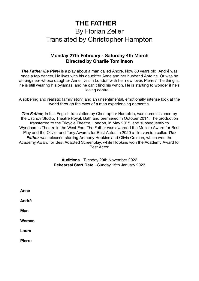### **THE FATHER**  By Florian Zeller Translated by Christopher Hampton

### **Monday 27th February - Saturday 4th March Directed by Charlie Tomlinson**

*The Father* (*Le Père*) is a play about a man called André. Now 80 years old, André was once a tap dancer. He lives with his daughter Anne and her husband Antoine. Or was he an engineer whose daughter Anne lives in London with her new lover, Pierre? The thing is, he is still wearing his pyjamas, and he can't find his watch. He is starting to wonder if he's losing control…

A sobering and realistic family story, and an unsentimental, emotionally intense look at the world through the eyes of a man experiencing dementia.

**The Father**, in this English translation by Christopher Hampton, was commissioned by the Ustinov Studio, Theatre Royal, Bath and premiered in October 2014. The production transferred to the Tricycle Theatre, London, in May 2015, and subsequently to Wyndham's Theatre in the West End. The Father was awarded the Moliere Award for Best Play and the Olivier and Tony Awards for Best Actor. In 2020 a film version called *The*  **Father** was released starring Anthony Hopkins and Olivia Colman, which won the Academy Award for Best Adapted Screenplay, while Hopkins won the Academy Award for Best Actor.

> **Auditions** - Tuesday 29th November 2022 **Rehearsal Start Date** - Sunday 15th January 2023

| Anne          |  |  |
|---------------|--|--|
| André         |  |  |
| Man           |  |  |
| Woman         |  |  |
| Laura         |  |  |
| <b>Pierre</b> |  |  |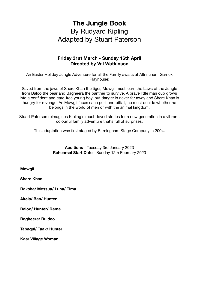### **The Jungle Book** By Rudyard Kipling Adapted by Stuart Paterson

### **Friday 31st March - Sunday 16th April Directed by Val Watkinson**

An Easter Holiday Jungle Adventure for all the Family awaits at Altrincham Garrick Playhouse!

Saved from the jaws of Shere Khan the tiger, Mowgli must learn the Laws of the Jungle from Baloo the bear and Bagheera the panther to survive. A brave little man cub grows into a confident and care-free young boy, but danger is never far away and Shere Khan is hungry for revenge. As Mowgli faces each peril and pitfall, he must decide whether he belongs in the world of men or with the animal kingdom.

Stuart Paterson reimagines Kipling's much-loved stories for a new generation in a vibrant, colourful family adventure that's full of surprises.

This adaptation was first staged by Birmingham Stage Company in 2004.

**Auditions** - Tuesday 3rd January 2023 **Rehearsal Start Date** - Sunday 12th February 2023

**Mowgli** 

**Shere Khan**

**Raksha/ Messua/ Luna/ Tima** 

**Akela/ Ban/ Hunter**

**Baloo/ Hunter/ Rama** 

**Bagheera/ Buldeo**

**Tabaqui/ Taak/ Hunter**

**Kaa/ Village Woman**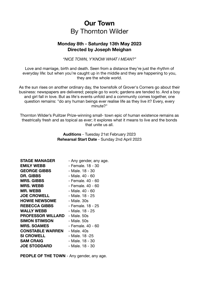### **Our Town**  By Thornton Wilder

### **Monday 8th - Saturday 13th May 2023 Directed by Joseph Meighan**

*"NICE TOWN, Y'KNOW WHAT I MEAN?"*

Love and marriage, birth and death. Seen from a distance they're just the rhythm of everyday life: but when you're caught up in the middle and they are happening to you, they are the whole world.

As the sun rises on another ordinary day, the townsfolk of Grover's Corners go about their business: newspapers are delivered; people go to work; gardens are tended to. And a boy and girl fall in love. But as life's events unfold and a community comes together, one question remains: "do any human beings ever realise life as they live it? Every, every minute?"

Thornton Wilder's Pulitzer Prize-winning small- town epic of human existence remains as theatrically fresh and as topical as ever; it explores what it means to live and the bonds that unite us all.

### **Auditions** - Tuesday 21st February 2023 **Rehearsal Start Date** - Sunday 2nd April 2023

| <b>STAGE MANAGER</b>     | - Any gender, any age. |
|--------------------------|------------------------|
| <b>EMILY WEBB</b>        | - Female. 18 - 30      |
| <b>GEORGE GIBBS</b>      | - Male. 18 - 30        |
| <b>DR. GIBBS</b>         | - Male, 40 - 60        |
| <b>MRS. GIBBS</b>        | - Female. 40 - 60      |
| <b>MRS. WEBB</b>         | - Female, 40 - 60      |
| MR. WEBB                 | - Male. 40 - 60        |
| <b>JOE CROWELL</b>       | - Male. 18 - 25        |
| <b>HOWIE NEWSOME</b>     | - Male. 30s            |
| <b>REBECCA GIBBS</b>     | - Female. 18 - 25      |
| <b>WALLY WEBB</b>        | - Male. 18 - 25        |
| <b>PROFESSOR WILLARD</b> | - Male. 50s            |
| <b>SIMON STIMSON</b>     | - Male. 50s            |
| <b>MRS. SOAMES</b>       | - Female, 40 - 60      |
| <b>CONSTABLE WARREN</b>  | - Male. 40s            |
| <b>SI CROWELL</b>        | - Male. 18 -25         |
| <b>SAM CRAIG</b>         | - Male. 18 - 30        |
| <b>JOE STODDARD</b>      | - Male. 18 - 30        |

**PEOPLE OF THE TOWN** - Any gender, any age.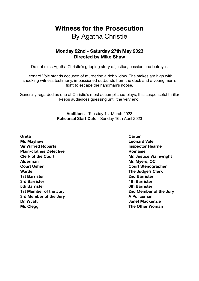### **Witness for the Prosecution**  By Agatha Christie

### **Monday 22nd - Saturday 27th May 2023 Directed by Mike Shaw**

Do not miss Agatha Christie's gripping story of justice, passion and betrayal.

Leonard Vole stands accused of murdering a rich widow. The stakes are high with shocking witness testimony, impassioned outbursts from the dock and a young man's fight to escape the hangman's noose.

Generally regarded as one of Christie's most accomplished plays, this suspenseful thriller keeps audiences guessing until the very end.

> **Auditions** - Tuesday 1st March 2023 **Rehearsal Start Date** - Sunday 16th April 2023

**Greta Carter Mr. Mayhew Leonard Vole Sir Wilfred Robarts Community Community Community Community Community Community Community Community Community Community Community Community Community Community Community Community Community Community Community Community C Plain-clothes Detective Romaine Romaine Clerk of the Court Mr. Justice Wainwright Mr.** Justice Wainwright **Alderman Mr. Myers, QC Court Usher Court Stenographer Warder The Judge's Clerk 1st Barrister 2nd Barrister 3rd Barrister 100 and 100 and 100 and 100 and 100 and 100 and 100 and 100 and 100 and 100 and 100 and 100 and 100 and 100 and 100 and 100 and 100 and 100 and 100 and 100 and 100 and 100 and 100 and 100 and 100 and 100 and 5th Barrister 6th Barrister 1st Member of the Jury 2nd Member of the Jury 3rd Member of the Jury A Policeman Dr. Wyatt Janet Mackenzie Mr. Clegg The Other Woman**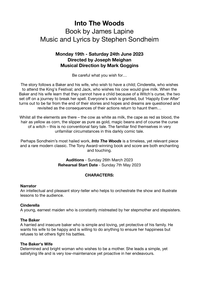### **Into The Woods** Book by James Lapine Music and Lyrics by Stephen Sondheim

### **Monday 19th - Saturday 24th June 2023 Directed by Joseph Meighan Musical Direction by Mark Goggins**

Be careful what you wish for…

The story follows a Baker and his wife, who wish to have a child; Cinderella, who wishes to attend the King's Festival; and Jack, who wishes his cow would give milk. When the Baker and his wife learn that they cannot have a child because of a Witch's curse, the two set off on a journey to break her spell. Everyone's wish is granted, but 'Happily Ever After' turns out to be far from the end of their stories and hopes and dreams are questioned and revisited as the consequences of their actions return to haunt them…

Whilst all the elements are there – the cow as white as milk, the cape as red as blood, the hair as yellow as corn, the slipper as pure as gold, magic beans and of course the curse of a witch – this is no conventional fairy tale. The familiar find themselves in very unfamiliar circumstances in this darkly comic tale.

Perhaps Sondheim's most hailed work, *Into The Woods* is a timeless, yet relevant piece and a rare modern classic. The Tony Award-winning book and score are both enchanting and touching.

> **Auditions** - Sunday 26th March 2023 **Rehearsal Start Date** - Sunday 7th May 2023

### **CHARACTERS:**

### **Narrator**

An intellectual and pleasant story-teller who helps to orchestrate the show and illustrate lessons to the audience.

### **Cinderella**

A young, earnest maiden who is constantly mistreated by her stepmother and stepsisters.

### **The Baker**

A harried and insecure baker who is simple and loving, yet protective of his family. He wants his wife to be happy and is willing to do anything to ensure her happiness but refuses to let others fight his battles.

### **The Baker's Wife**

Determined and bright woman who wishes to be a mother. She leads a simple, yet satisfying life and is very low-maintenance yet proactive in her endeavours.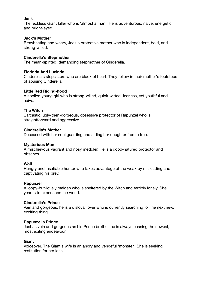### **Jack**

The feckless Giant killer who is 'almost a man.' He is adventurous, naive, energetic, and bright-eyed.

### **Jack's Mother**

Browbeating and weary, Jack's protective mother who is independent, bold, and strong-willed.

### **Cinderella's Stepmother**

The mean-spirited, demanding stepmother of Cinderella.

### **Florinda And Lucinda**

Cinderella's stepsisters who are black of heart. They follow in their mother's footsteps of abusing Cinderella.

### **Little Red Riding-hood**

A spoiled young girl who is strong-willed, quick-witted, fearless, yet youthful and naive.

### **The Witch**

Sarcastic, ugly-then-gorgeous, obsessive protector of Rapunzel who is straightforward and aggressive.

#### **Cinderella's Mother**

Deceased with her soul guarding and aiding her daughter from a tree.

### **Mysterious Man**

A mischievous vagrant and nosy meddler. He is a good-natured protector and observer.

### **Wolf**

Hungry and insatiable hunter who takes advantage of the weak by misleading and captivating his prey.

#### **Rapunzel**

A loopy-but-lovely maiden who is sheltered by the Witch and terribly lonely. She yearns to experience the world.

#### **Cinderella's Prince**

Vain and gorgeous, he is a disloyal lover who is currently searching for the next new, exciting thing.

### **Rapunzel's Prince**

Just as vain and gorgeous as his Prince brother, he is always chasing the newest, most exiting endeavour.

### **Giant**

Voiceover. The Giant's wife is an angry and vengeful 'monster.' She is seeking restitution for her loss.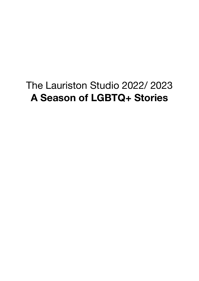## The Lauriston Studio 2022/ 2023 **A Season of LGBTQ+ Stories**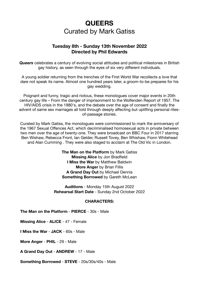### **QUEERS** Curated by Mark Gatiss

### **Tuesday 8th - Sunday 13th November 2022 Directed by Phil Edwards**

*Queers* celebrates a century of evolving social attitudes and political milestones in British gay history, as seen through the eyes of six very different individuals.

A young soldier returning from the trenches of the First World War recollects a love that dare not speak its name. Almost one hundred years later, a groom-to-be prepares for his gay wedding.

Poignant and funny, tragic and riotous, these monologues cover major events in 20th century gay life – From the danger of imprisonment to the Wolfenden Report of 1957. The HIV/AIDS crisis in the 1980's, and the debate over the age of consent and finally the advent of same sex marriages all told through deeply affecting but uplifting personal ritesof-passage stories.

Curated by Mark Gatiss, the monologues were commissioned to mark the anniversary of the 1967 Sexual Offences Act, which decriminalised homosexual acts in private between two men over the age of twenty-one. They were broadcast on BBC Four in 2017 starring Ben Wishaw, Rebecca Front, Ian Gelder, Russell Tovey, Ben Whishaw, Fionn Whitehead and Alan Cumming . They were also staged to acclaim at The Old Vic in London.

> **The Man on the Platform** by Mark Gatiss **Missing Alice** by Jon Bradfield **I Miss the War** by Matthew Baldwin **More Anger** by Brian Fillis **A Grand Day Out** by Michael Dennis **Something Borrowed** by Gareth McLean

**Auditions** - Monday 15th August 2022 **Rehearsal Start Date** - Sunday 2nd October 2022

### **CHARACTERS:**

**The Man on the Platform** - **PIERCE** - 30s - Male

**Missing Alice** - **ALICE** - 47 - Female

**I Miss the War** - **JACK** - 60s - Male

**More Anger** - **PHIL** - 29 - Male

**A Grand Day Out** - **ANDREW** - 17 - Male

**Something Borrowed** - **STEVE** - 20s/30s/40s - Male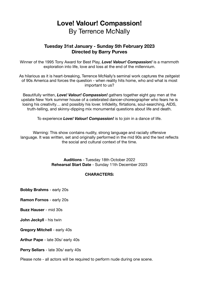### **Love! Valour! Compassion!** By Terrence McNally

### **Tuesday 31st January - Sunday 5th February 2023 Directed by Barry Purves**

Winner of the 1995 Tony Award for Best Play, *Love! Valour! Compassion!* is a mammoth exploration into life, love and loss at the end of the millennium.

As hilarious as it is heart-breaking, Terrence McNally's seminal work captures the zeitgeist of 90s America and forces the question - when reality hits home, who and what is most important to us?

Beautifully written, *Love! Valour! Compassion!* gathers together eight gay men at the upstate New York summer house of a celebrated dancer-choreographer who fears he is losing his creativity… and possibly his lover. Infidelity, flirtations, soul-searching, AIDS, truth-telling, and skinny-dipping mix monumental questions about life and death.

To experience *Love! Valour! Compassion!* is to join in a dance of life.

Warning: This show contains nudity, strong language and racially offensive language. It was written, set and originally performed in the mid 90s and the text reflects the social and cultural context of the time.

### **Auditions** - Tuesday 18th October 2022 **Rehearsal Start Date** - Sunday 11th December 2023

### **CHARACTERS:**

**Bobby Brahms** - early 20s

- **Ramon Fornos**  early 20s
- **Buzz Hauser**  mid 30s
- **John Jeckyll**  his twin
- **Gregory Mitchell**  early 40s

**Arthur Pape** - late 30s/ early 40s

**Perry Sellars** - late 30s/ early 40s

Please note - all actors will be required to perform nude during one scene.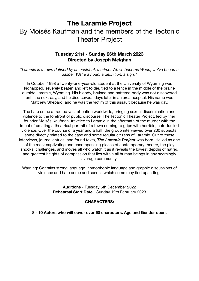### **The Laramie Project** By Moisés Kaufman and the members of the Tectonic Theater Project

### **Tuesday 21st - Sunday 26th March 2023 Directed by Joseph Meighan**

"*Laramie is a town defined by an accident, a crime. We've become Waco, we've become Jasper. We're a noun, a definition, a sign."*

In October 1998 a twenty-one-year-old student at the University of Wyoming was kidnapped, severely beaten and left to die, tied to a fence in the middle of the prairie outside Laramie, Wyoming. His bloody, bruised and battered body was not discovered until the next day, and he died several days later in an area hospital. His name was Matthew Shepard, and he was the victim of this assault because he was gay.

The hate crime attracted vast attention worldwide, bringing sexual discrimination and violence to the forefront of public discourse. The Tectonic Theater Project, led by their founder Moisés Kaufman, traveled to Laramie in the aftermath of the murder with the intent of creating a theatrical portrait of a town coming to grips with horrible, hate-fuelled violence. Over the course of a year and a half, the group interviewed over 200 subjects, some directly related to the case and some regular citizens of Laramie. Out of these interviews, journal entries, and found texts, *The Laramie Project* was born. Hailed as one of the most captivating and encompassing pieces of contemporary theatre, the play shocks, challenges, and moves all who watch it as it reveals the lowest depths of hatred and greatest heights of compassion that lies within all human beings in any seemingly average community.

Warning: Contains strong language, homophobic language and graphic discussions of violence and hate crime and scenes which some may find upsetting.

> **Auditions** - Tuesday 6th December 2022 **Rehearsal Start Date** - Sunday 12th February 2023

### **CHARACTERS:**

**8 - 10 Actors who will cover over 60 characters. Age and Gender open.**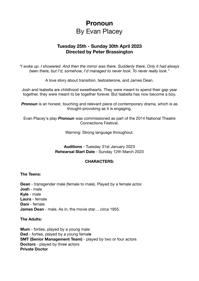### **Pronoun** By Evan Placey

### **Tuesday 25th - Sunday 30th April 2023 Directed by Peter Brassington**

*"I woke up. I showered. And then the mirror was there. Suddenly there. Only it had always been there, but I'd, somehow, I'd managed to never look. To never really look."*

A love story about transition, testosterone, and James Dean.

Josh and Isabella are childhood sweethearts. They were meant to spend their gap year together, they were meant to be together forever. But Isabella has now become a boy.

**Pronoun** is an honest, touching and relevant piece of contemporary drama, which is as thought-provoking as it is engaging.

Evan Placey's play *Pronoun* was commissioned as part of the 2014 National Theatre Connections Festival.

Warning: Strong language throughout.

**Auditions** - Tuesday 31st January 2023 **Rehearsal Start Date** - Sunday 12th March 2023

### **CHARACTERS:**

### **The Teens:**

**Dean** - transgender male (female to male). Played by a female actor. **Josh** - male **Kyle** - male **Laura** - female **Dani** - female **James Dean** - male. As in, the movie star… circa 1955.

**The Adults:** 

**Mum** - forties, played by a young male **Dad** - forties, played by a young femal**e SMT (Senior Management Team)** - played by two or four actors **Doctors** - played by three actors **Private Doctor**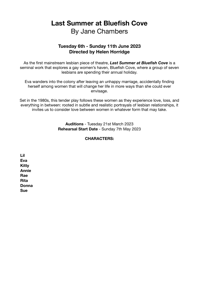### **Last Summer at Bluefish Cove** By Jane Chambers

### **Tuesday 6th - Sunday 11th June 2023 Directed by Helen Horridge**

As the first mainstream lesbian piece of theatre, *Last Summer at Bluefish Cove* is a seminal work that explores a gay women's haven, Bluefish Cove, where a group of seven lesbians are spending their annual holiday.

Eva wanders into the colony after leaving an unhappy marriage, accidentally finding herself among women that will change her life in more ways than she could ever envisage.

Set in the 1980s, this tender play follows these women as they experience love, loss, and everything in between: rooted in subtle and realistic portrayals of lesbian relationships, it invites us to consider love between women in whatever form that may take.

> **Auditions** - Tuesday 21st March 2023 **Rehearsal Start Date** - Sunday 7th May 2023

### **CHARACTERS:**

**Lil Eva Kitty Annie Rae Rita Donna Sue**